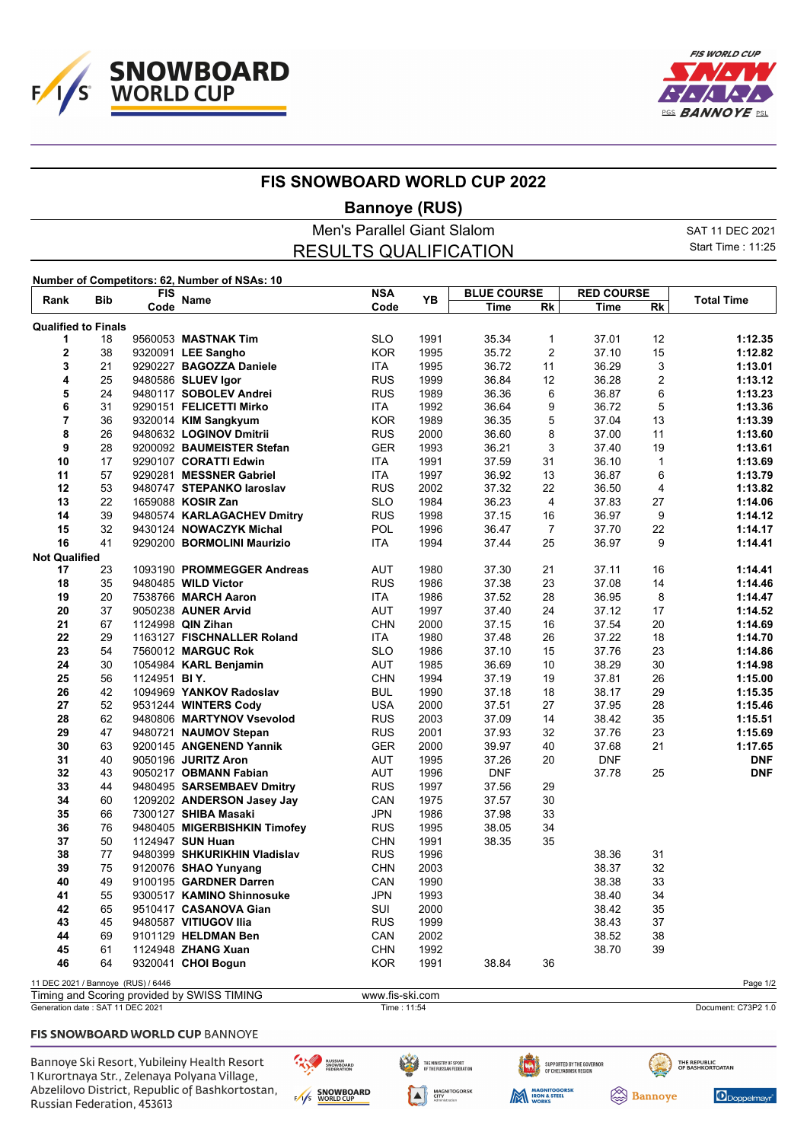



## **FIS SNOWBOARD WORLD CUP 2022**

## **Bannoye (RUS)**

| Men's Parallel Giant Slalom |                              |                                   |                                               |            |      |                    |           |                   |           | SAT 11 DEC 2021   |  |
|-----------------------------|------------------------------|-----------------------------------|-----------------------------------------------|------------|------|--------------------|-----------|-------------------|-----------|-------------------|--|
|                             | <b>RESULTS QUALIFICATION</b> |                                   |                                               |            |      |                    |           |                   |           | Start Time: 11:25 |  |
|                             |                              |                                   | Number of Competitors: 62, Number of NSAs: 10 |            |      |                    |           |                   |           |                   |  |
| Rank                        |                              | <b>FIS</b><br><b>Name</b><br>Code |                                               | <b>NSA</b> | YB   | <b>BLUE COURSE</b> |           | <b>RED COURSE</b> |           |                   |  |
|                             | <b>Bib</b>                   |                                   |                                               | Code       |      | Time               | <b>Rk</b> | Time              | <b>Rk</b> | Total Time        |  |
| <b>Qualified to Finals</b>  |                              |                                   |                                               |            |      |                    |           |                   |           |                   |  |
|                             | 18                           |                                   | 9560053 MASTNAK Tim                           | <b>SLO</b> | 1991 | 35.34              |           | 37.01             | 12        | 1:12.35           |  |
| 2                           | 38                           | 9320091                           | <b>LEE Sangho</b>                             | <b>KOR</b> | 1995 | 35.72              | 2         | 37.10             | 15        | 1:12.82           |  |
|                             | 21                           | 9290227                           | <b>BAGOZZA Daniele</b>                        | ITA        | 1995 | 36.72              | 11        | 36.29             | 3         | 1:13.01           |  |
| 4                           | 25.                          |                                   | $9480586$ SI LIFV $Inor$                      | RUS.       | 1999 | 36.84              | 12        | 36.28             |           | 1.1312            |  |

| د                                  | ∠∣ |              | <b>ALANTZI DAGOZZA DAMIGIE</b>              | H A             | ານລວ        | 30. I Z    | <b>II</b>               | ວ໐.∠ອ      | J.             | 1.19.01             |
|------------------------------------|----|--------------|---------------------------------------------|-----------------|-------------|------------|-------------------------|------------|----------------|---------------------|
| 4                                  | 25 |              | 9480586 SLUEV Igor                          | <b>RUS</b>      | 1999        | 36.84      | 12                      | 36.28      | 2              | 1:13.12             |
| 5                                  | 24 |              | 9480117 SOBOLEV Andrei                      | <b>RUS</b>      | 1989        | 36.36      | 6                       | 36.87      | 6              | 1:13.23             |
| 6                                  | 31 |              | 9290151 FELICETTI Mirko                     | <b>ITA</b>      | 1992        | 36.64      | 9                       | 36.72      | 5              | 1:13.36             |
| $\overline{7}$                     | 36 |              | 9320014 KIM Sangkyum                        | <b>KOR</b>      | 1989        | 36.35      | 5                       | 37.04      | 13             | 1:13.39             |
| 8                                  | 26 |              | 9480632 LOGINOV Dmitrii                     | <b>RUS</b>      | 2000        | 36.60      | 8                       | 37.00      | 11             | 1:13.60             |
| 9                                  | 28 |              | 9200092 BAUMEISTER Stefan                   | <b>GER</b>      | 1993        | 36.21      | 3                       | 37.40      | 19             | 1:13.61             |
| 10                                 | 17 |              | 9290107 CORATTI Edwin                       | <b>ITA</b>      | 1991        | 37.59      | 31                      | 36.10      | $\mathbf{1}$   | 1:13.69             |
| 11                                 | 57 |              | 9290281 MESSNER Gabriel                     | <b>ITA</b>      | 1997        | 36.92      | 13                      | 36.87      | 6              | 1:13.79             |
| 12                                 | 53 |              | 9480747 STEPANKO laroslav                   | <b>RUS</b>      | 2002        | 37.32      | 22                      | 36.50      | $\overline{4}$ | 1:13.82             |
| 13                                 | 22 |              | 1659088 KOSIR Zan                           | <b>SLO</b>      | 1984        | 36.23      | $\overline{\mathbf{4}}$ | 37.83      | 27             | 1:14.06             |
| 14                                 | 39 |              | 9480574 KARLAGACHEV Dmitry                  | <b>RUS</b>      | 1998        | 37.15      | 16                      | 36.97      | 9              | 1:14.12             |
| 15                                 | 32 |              | 9430124 NOWACZYK Michal                     | <b>POL</b>      | 1996        | 36.47      | $\overline{7}$          | 37.70      | 22             | 1:14.17             |
| 16                                 | 41 |              | 9290200 BORMOLINI Maurizio                  | <b>ITA</b>      | 1994        | 37.44      | 25                      | 36.97      | 9              | 1:14.41             |
|                                    |    |              |                                             |                 |             |            |                         |            |                |                     |
| <b>Not Qualified</b><br>17         | 23 |              | 1093190 PROMMEGGER Andreas                  | <b>AUT</b>      | 1980        | 37.30      | 21                      | 37.11      | 16             | 1:14.41             |
|                                    |    |              |                                             |                 |             |            |                         |            | 14             |                     |
| 18                                 | 35 |              | 9480485 WILD Victor                         | <b>RUS</b>      | 1986        | 37.38      | 23                      | 37.08      |                | 1:14.46             |
| 19                                 | 20 |              | 7538766 MARCH Aaron                         | <b>ITA</b>      | 1986        | 37.52      | 28                      | 36.95      | 8              | 1:14.47             |
| 20                                 | 37 |              | 9050238 AUNER Arvid                         | <b>AUT</b>      | 1997        | 37.40      | 24                      | 37.12      | 17             | 1:14.52             |
| 21                                 | 67 |              | 1124998 QIN Zihan                           | <b>CHN</b>      | 2000        | 37.15      | 16                      | 37.54      | 20             | 1:14.69             |
| 22                                 | 29 |              | 1163127 FISCHNALLER Roland                  | <b>ITA</b>      | 1980        | 37.48      | 26                      | 37.22      | 18             | 1:14.70             |
| 23                                 | 54 |              | 7560012 MARGUC Rok                          | <b>SLO</b>      | 1986        | 37.10      | 15                      | 37.76      | 23             | 1:14.86             |
| 24                                 | 30 |              | 1054984 KARL Benjamin                       | <b>AUT</b>      | 1985        | 36.69      | 10                      | 38.29      | 30             | 1:14.98             |
| 25                                 | 56 | 1124951 BIY. |                                             | <b>CHN</b>      | 1994        | 37.19      | 19                      | 37.81      | 26             | 1:15.00             |
| 26                                 | 42 |              | 1094969 YANKOV Radoslav                     | <b>BUL</b>      | 1990        | 37.18      | 18                      | 38.17      | 29             | 1:15.35             |
| 27                                 | 52 |              | 9531244 WINTERS Cody                        | <b>USA</b>      | 2000        | 37.51      | 27                      | 37.95      | 28             | 1:15.46             |
| 28                                 | 62 |              | 9480806 MARTYNOV Vsevolod                   | <b>RUS</b>      | 2003        | 37.09      | 14                      | 38.42      | 35             | 1:15.51             |
| 29                                 | 47 |              | 9480721 NAUMOV Stepan                       | <b>RUS</b>      | 2001        | 37.93      | 32                      | 37.76      | 23             | 1:15.69             |
| 30                                 | 63 |              | 9200145 ANGENEND Yannik                     | <b>GER</b>      | 2000        | 39.97      | 40                      | 37.68      | 21             | 1:17.65             |
| 31                                 | 40 |              | 9050196 JURITZ Aron                         | <b>AUT</b>      | 1995        | 37.26      | 20                      | <b>DNF</b> |                | <b>DNF</b>          |
| 32                                 | 43 |              | 9050217 OBMANN Fabian                       | AUT             | 1996        | <b>DNF</b> |                         | 37.78      | 25             | <b>DNF</b>          |
| 33                                 | 44 |              | 9480495 SARSEMBAEV Dmitry                   | <b>RUS</b>      | 1997        | 37.56      | 29                      |            |                |                     |
| 34                                 | 60 |              | 1209202 ANDERSON Jasey Jay                  | CAN             | 1975        | 37.57      | 30                      |            |                |                     |
| 35                                 | 66 |              | 7300127 SHIBA Masaki                        | <b>JPN</b>      | 1986        | 37.98      | 33                      |            |                |                     |
| 36                                 | 76 |              | 9480405 MIGERBISHKIN Timofey                | <b>RUS</b>      | 1995        | 38.05      | 34                      |            |                |                     |
| 37                                 | 50 |              | 1124947 SUN Huan                            | <b>CHN</b>      | 1991        | 38.35      | 35                      |            |                |                     |
| 38                                 | 77 |              | 9480399 SHKURIKHIN Vladislav                | <b>RUS</b>      | 1996        |            |                         | 38.36      | 31             |                     |
| 39                                 | 75 |              | 9120076 SHAO Yunyang                        | <b>CHN</b>      | 2003        |            |                         | 38.37      | 32             |                     |
| 40                                 | 49 |              | 9100195 GARDNER Darren                      | CAN             | 1990        |            |                         | 38.38      | 33             |                     |
| 41                                 | 55 |              | 9300517 KAMINO Shinnosuke                   | <b>JPN</b>      | 1993        |            |                         | 38.40      | 34             |                     |
| 42                                 | 65 |              | 9510417 CASANOVA Gian                       | SUI             | 2000        |            |                         | 38.42      | 35             |                     |
| 43                                 | 45 |              | 9480587 VITIUGOV Ilia                       | <b>RUS</b>      | 1999        |            |                         | 38.43      | 37             |                     |
| 44                                 | 69 |              | 9101129 HELDMAN Ben                         | CAN             | 2002        |            |                         | 38.52      | 38             |                     |
|                                    |    |              |                                             |                 |             |            |                         |            |                |                     |
| 45                                 | 61 |              | 1124948 ZHANG Xuan                          | <b>CHN</b>      | 1992        |            |                         | 38.70      | 39             |                     |
| 46                                 | 64 |              | 9320041 CHOI Bogun                          | <b>KOR</b>      | 1991        | 38.84      | 36                      |            |                |                     |
| 11 DEC 2021 / Bannoye (RUS) / 6446 |    |              |                                             |                 |             |            |                         |            |                | Page 1/2            |
|                                    |    |              | Timing and Scoring provided by SWISS TIMING | www.fis-ski.com |             |            |                         |            |                |                     |
| Generation date: SAT 11 DEC 2021   |    |              |                                             |                 | Time: 11:54 |            |                         |            |                | Document: C73P2 1.0 |

### FIS SNOWBOARD WORLD CUP BANNOYE

Bannoye Ski Resort, Yubileiny Health Resort 1 Kurortnaya Str., Zelenaya Polyana Village, Abzelilovo District, Republic of Bashkortostan, Russian Federation, 453613

RUSSIAN<br>SNOWBOARD<br>FEDERATION ENS SNOWBOARD

微

THE MINISTRY OF SPORT<br>Of the Russian Federation **MAGNITOGORSK**<br>CITY<br>Administration





Doppelmayr